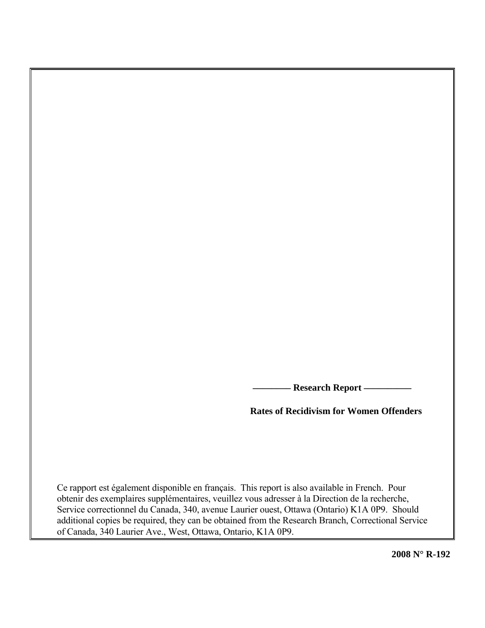**Research Report -**

 **Rates of Recidivism for Women Offenders** 

Ce rapport est également disponible en français. This report is also available in French. Pour obtenir des exemplaires supplémentaires, veuillez vous adresser à la Direction de la recherche, Service correctionnel du Canada, 340, avenue Laurier ouest, Ottawa (Ontario) K1A 0P9. Should additional copies be required, they can be obtained from the Research Branch, Correctional Service of Canada, 340 Laurier Ave., West, Ottawa, Ontario, K1A 0P9.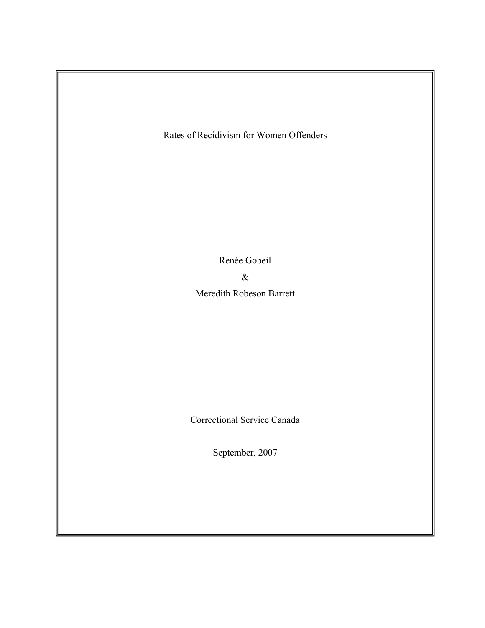Rates of Recidivism for Women Offenders

Renée Gobeil

&

Meredith Robeson Barrett

Correctional Service Canada

September, 2007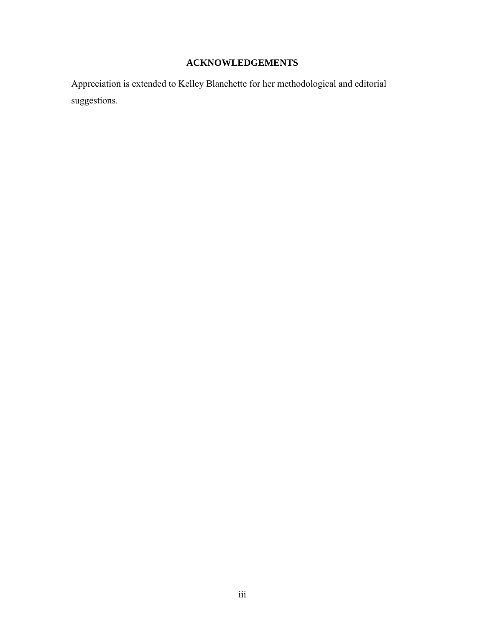# **ACKNOWLEDGEMENTS**

<span id="page-2-0"></span>Appreciation is extended to Kelley Blanchette for her methodological and editorial suggestions.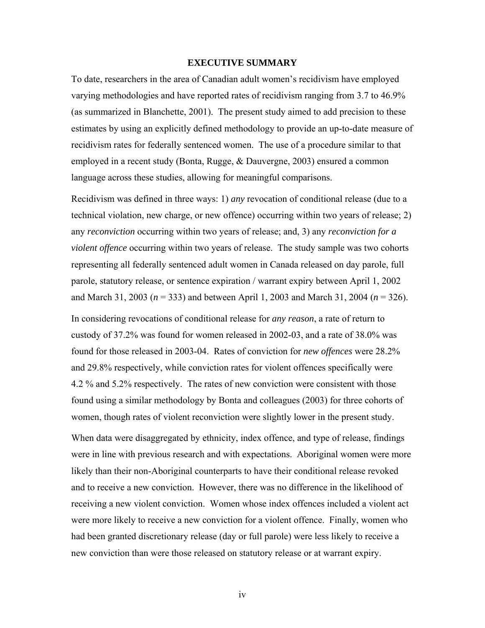## **EXECUTIVE SUMMARY**

<span id="page-3-0"></span>To date, researchers in the area of Canadian adult women's recidivism have employed varying methodologies and have reported rates of recidivism ranging from 3.7 to 46.9% (as summarized in Blanchette, 2001). The present study aimed to add precision to these estimates by using an explicitly defined methodology to provide an up-to-date measure of recidivism rates for federally sentenced women. The use of a procedure similar to that employed in a recent study (Bonta, Rugge, & Dauvergne, 2003) ensured a common language across these studies, allowing for meaningful comparisons.

Recidivism was defined in three ways: 1) *any* revocation of conditional release (due to a technical violation, new charge, or new offence) occurring within two years of release; 2) any *reconviction* occurring within two years of release; and, 3) any *reconviction for a violent offence* occurring within two years of release. The study sample was two cohorts representing all federally sentenced adult women in Canada released on day parole, full parole, statutory release, or sentence expiration / warrant expiry between April 1, 2002 and March 31, 2003 (*n* = 333) and between April 1, 2003 and March 31, 2004 (*n* = 326).

In considering revocations of conditional release for *any reason*, a rate of return to custody of 37.2% was found for women released in 2002-03, and a rate of 38.0% was found for those released in 2003-04. Rates of conviction for *new offences* were 28.2% and 29.8% respectively, while conviction rates for violent offences specifically were 4.2 % and 5.2% respectively. The rates of new conviction were consistent with those found using a similar methodology by Bonta and colleagues (2003) for three cohorts of women, though rates of violent reconviction were slightly lower in the present study.

When data were disaggregated by ethnicity, index offence, and type of release, findings were in line with previous research and with expectations. Aboriginal women were more likely than their non-Aboriginal counterparts to have their conditional release revoked and to receive a new conviction. However, there was no difference in the likelihood of receiving a new violent conviction. Women whose index offences included a violent act were more likely to receive a new conviction for a violent offence. Finally, women who had been granted discretionary release (day or full parole) were less likely to receive a new conviction than were those released on statutory release or at warrant expiry.

iv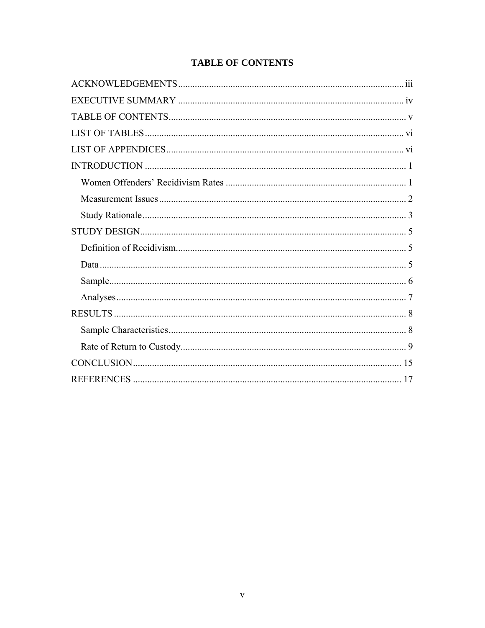# **TABLE OF CONTENTS**

<span id="page-4-0"></span>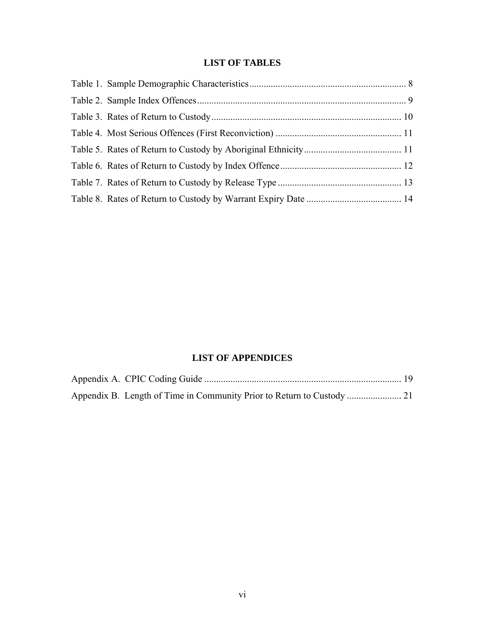# **LIST OF TABLES**

<span id="page-5-0"></span>

# **LIST OF APPENDICES**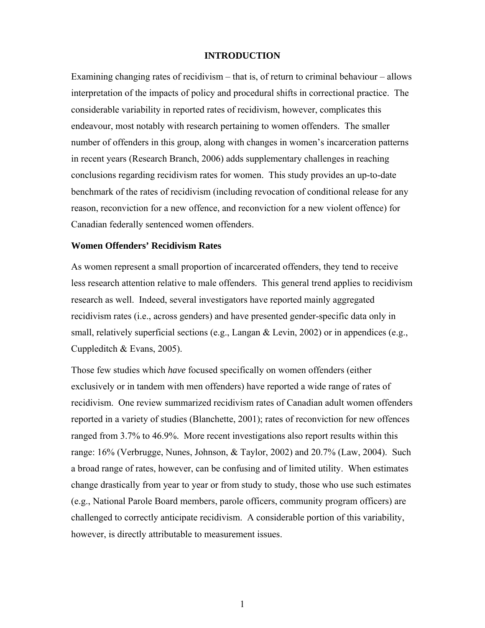# **INTRODUCTION**

<span id="page-6-0"></span>Examining changing rates of recidivism – that is, of return to criminal behaviour – allows interpretation of the impacts of policy and procedural shifts in correctional practice. The considerable variability in reported rates of recidivism, however, complicates this endeavour, most notably with research pertaining to women offenders. The smaller number of offenders in this group, along with changes in women's incarceration patterns in recent years (Research Branch, 2006) adds supplementary challenges in reaching conclusions regarding recidivism rates for women. This study provides an up-to-date benchmark of the rates of recidivism (including revocation of conditional release for any reason, reconviction for a new offence, and reconviction for a new violent offence) for Canadian federally sentenced women offenders.

### **Women Offenders' Recidivism Rates**

As women represent a small proportion of incarcerated offenders, they tend to receive less research attention relative to male offenders. This general trend applies to recidivism research as well. Indeed, several investigators have reported mainly aggregated recidivism rates (i.e., across genders) and have presented gender-specific data only in small, relatively superficial sections (e.g., Langan & Levin, 2002) or in appendices (e.g., Cuppleditch & Evans, 2005).

Those few studies which *have* focused specifically on women offenders (either exclusively or in tandem with men offenders) have reported a wide range of rates of recidivism. One review summarized recidivism rates of Canadian adult women offenders reported in a variety of studies (Blanchette, 2001); rates of reconviction for new offences ranged from 3.7% to 46.9%. More recent investigations also report results within this range: 16% (Verbrugge, Nunes, Johnson, & Taylor, 2002) and 20.7% (Law, 2004). Such a broad range of rates, however, can be confusing and of limited utility. When estimates change drastically from year to year or from study to study, those who use such estimates (e.g., National Parole Board members, parole officers, community program officers) are challenged to correctly anticipate recidivism. A considerable portion of this variability, however, is directly attributable to measurement issues.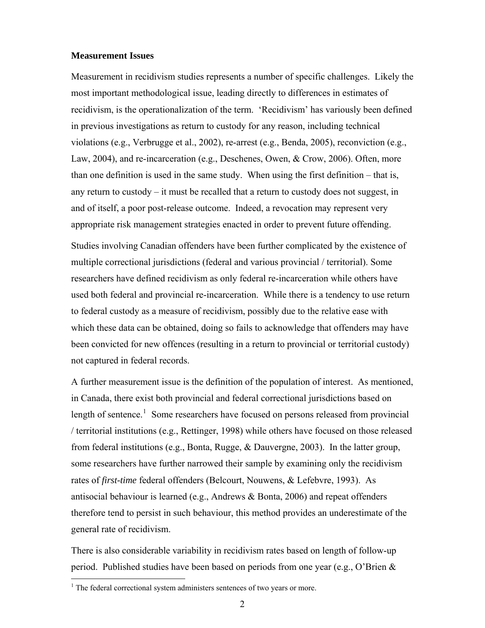### <span id="page-7-0"></span>**Measurement Issues**

Measurement in recidivism studies represents a number of specific challenges. Likely the most important methodological issue, leading directly to differences in estimates of recidivism, is the operationalization of the term. 'Recidivism' has variously been defined in previous investigations as return to custody for any reason, including technical violations (e.g., Verbrugge et al., 2002), re-arrest (e.g., Benda, 2005), reconviction (e.g., Law, 2004), and re-incarceration (e.g., Deschenes, Owen, & Crow, 2006). Often, more than one definition is used in the same study. When using the first definition – that is, any return to custody – it must be recalled that a return to custody does not suggest, in and of itself, a poor post-release outcome. Indeed, a revocation may represent very appropriate risk management strategies enacted in order to prevent future offending. Studies involving Canadian offenders have been further complicated by the existence of multiple correctional jurisdictions (federal and various provincial / territorial). Some researchers have defined recidivism as only federal re-incarceration while others have used both federal and provincial re-incarceration. While there is a tendency to use return to federal custody as a measure of recidivism, possibly due to the relative ease with which these data can be obtained, doing so fails to acknowledge that offenders may have been convicted for new offences (resulting in a return to provincial or territorial custody) not captured in federal records.

A further measurement issue is the definition of the population of interest. As mentioned, in Canada, there exist both provincial and federal correctional jurisdictions based on length of sentence.<sup>[1](#page-7-0)</sup> Some researchers have focused on persons released from provincial / territorial institutions (e.g., Rettinger, 1998) while others have focused on those released from federal institutions (e.g., Bonta, Rugge, & Dauvergne, 2003).In the latter group, some researchers have further narrowed their sample by examining only the recidivism rates of *first-time* federal offenders (Belcourt, Nouwens, & Lefebvre, 1993). As antisocial behaviour is learned (e.g., Andrews & Bonta, 2006) and repeat offenders therefore tend to persist in such behaviour, this method provides an underestimate of the general rate of recidivism.

There is also considerable variability in recidivism rates based on length of follow-up period. Published studies have been based on periods from one year (e.g., O'Brien &

 $\overline{a}$ 

<sup>&</sup>lt;sup>1</sup> The federal correctional system administers sentences of two years or more.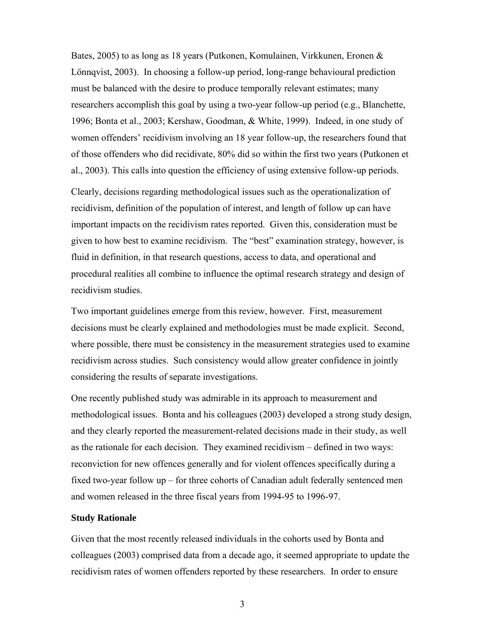<span id="page-8-0"></span>Bates, 2005) to as long as 18 years (Putkonen, Komulainen, Virkkunen, Eronen & Lönnqvist, 2003). In choosing a follow-up period, long-range behavioural prediction must be balanced with the desire to produce temporally relevant estimates; many researchers accomplish this goal by using a two-year follow-up period (e.g., Blanchette, 1996; Bonta et al., 2003; Kershaw, Goodman, & White, 1999). Indeed, in one study of women offenders' recidivism involving an 18 year follow-up, the researchers found that of those offenders who did recidivate, 80% did so within the first two years (Putkonen et al., 2003). This calls into question the efficiency of using extensive follow-up periods.

Clearly, decisions regarding methodological issues such as the operationalization of recidivism, definition of the population of interest, and length of follow up can have important impacts on the recidivism rates reported. Given this, consideration must be given to how best to examine recidivism. The "best" examination strategy, however, is fluid in definition, in that research questions, access to data, and operational and procedural realities all combine to influence the optimal research strategy and design of recidivism studies.

Two important guidelines emerge from this review, however. First, measurement decisions must be clearly explained and methodologies must be made explicit. Second, where possible, there must be consistency in the measurement strategies used to examine recidivism across studies. Such consistency would allow greater confidence in jointly considering the results of separate investigations.

One recently published study was admirable in its approach to measurement and methodological issues. Bonta and his colleagues (2003) developed a strong study design, and they clearly reported the measurement-related decisions made in their study, as well as the rationale for each decision. They examined recidivism – defined in two ways: reconviction for new offences generally and for violent offences specifically during a fixed two-year follow up – for three cohorts of Canadian adult federally sentenced men and women released in the three fiscal years from 1994-95 to 1996-97.

#### **Study Rationale**

Given that the most recently released individuals in the cohorts used by Bonta and colleagues (2003) comprised data from a decade ago, it seemed appropriate to update the recidivism rates of women offenders reported by these researchers. In order to ensure

3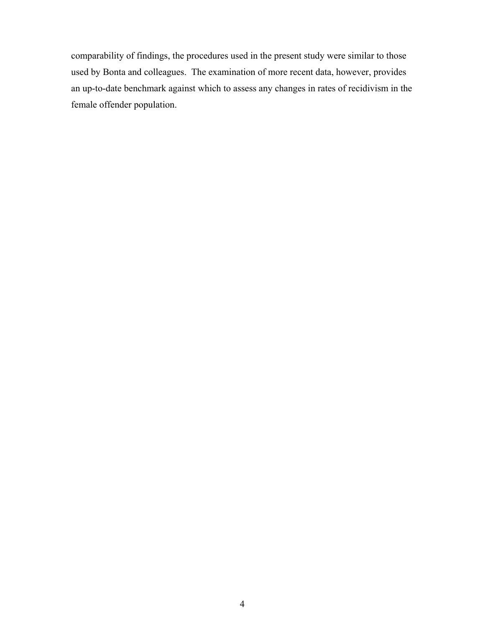comparability of findings, the procedures used in the present study were similar to those used by Bonta and colleagues. The examination of more recent data, however, provides an up-to-date benchmark against which to assess any changes in rates of recidivism in the female offender population.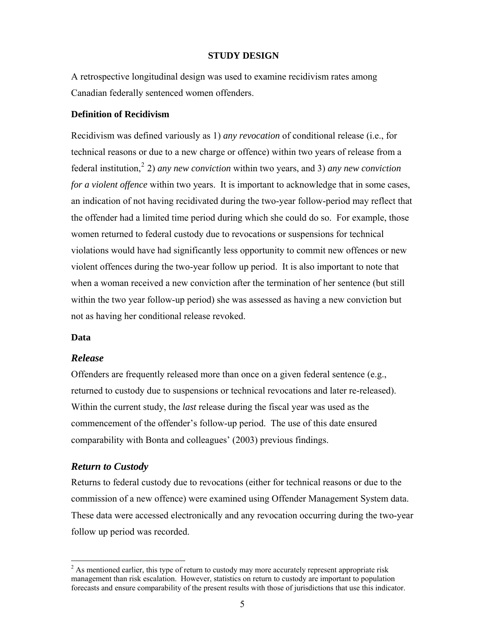## **STUDY DESIGN**

<span id="page-10-0"></span>A retrospective longitudinal design was used to examine recidivism rates among Canadian federally sentenced women offenders.

# **Definition of Recidivism**

Recidivism was defined variously as 1) *any revocation* of conditional release (i.e., for technical reasons or due to a new charge or offence) within two years of release from a federal institution,[2](#page-10-0) 2) *any new conviction* within two years, and 3) *any new conviction for a violent offence* within two years. It is important to acknowledge that in some cases, an indication of not having recidivated during the two-year follow-period may reflect that the offender had a limited time period during which she could do so. For example, those women returned to federal custody due to revocations or suspensions for technical violations would have had significantly less opportunity to commit new offences or new violent offences during the two-year follow up period. It is also important to note that when a woman received a new conviction after the termination of her sentence (but still within the two year follow-up period) she was assessed as having a new conviction but not as having her conditional release revoked.

# **Data**

 $\overline{a}$ 

# *Release*

Offenders are frequently released more than once on a given federal sentence (e.g., returned to custody due to suspensions or technical revocations and later re-released). Within the current study, the *last* release during the fiscal year was used as the commencement of the offender's follow-up period. The use of this date ensured comparability with Bonta and colleagues' (2003) previous findings.

# *Return to Custody*

Returns to federal custody due to revocations (either for technical reasons or due to the commission of a new offence) were examined using Offender Management System data. These data were accessed electronically and any revocation occurring during the two-year follow up period was recorded.

 $2^{2}$  As mentioned earlier, this type of return to custody may more accurately represent appropriate risk management than risk escalation. However, statistics on return to custody are important to population forecasts and ensure comparability of the present results with those of jurisdictions that use this indicator.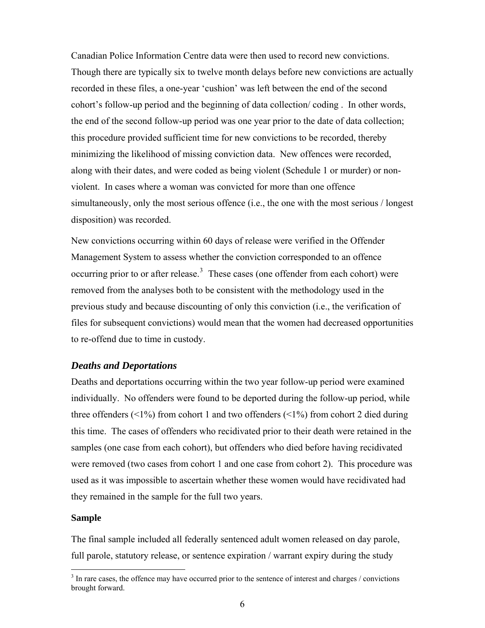<span id="page-11-0"></span>Canadian Police Information Centre data were then used to record new convictions. Though there are typically six to twelve month delays before new convictions are actually recorded in these files, a one-year 'cushion' was left between the end of the second cohort's follow-up period and the beginning of data collection/ coding . In other words, the end of the second follow-up period was one year prior to the date of data collection; this procedure provided sufficient time for new convictions to be recorded, thereby minimizing the likelihood of missing conviction data. New offences were recorded, along with their dates, and were coded as being violent (Schedule 1 or murder) or nonviolent. In cases where a woman was convicted for more than one offence simultaneously, only the most serious offence (i.e., the one with the most serious / longest disposition) was recorded.

New convictions occurring within 60 days of release were verified in the Offender Management System to assess whether the conviction corresponded to an offence occurring prior to or after release.<sup>[3](#page-11-0)</sup> These cases (one offender from each cohort) were removed from the analyses both to be consistent with the methodology used in the previous study and because discounting of only this conviction (i.e., the verification of files for subsequent convictions) would mean that the women had decreased opportunities to re-offend due to time in custody.

# *Deaths and Deportations*

Deaths and deportations occurring within the two year follow-up period were examined individually. No offenders were found to be deported during the follow-up period, while three offenders  $\left( \langle 1\% \rangle \right)$  from cohort 1 and two offenders  $\left( \langle 1\% \rangle \right)$  from cohort 2 died during this time. The cases of offenders who recidivated prior to their death were retained in the samples (one case from each cohort), but offenders who died before having recidivated were removed (two cases from cohort 1 and one case from cohort 2). This procedure was used as it was impossible to ascertain whether these women would have recidivated had they remained in the sample for the full two years.

#### **Sample**

 $\overline{a}$ 

The final sample included all federally sentenced adult women released on day parole, full parole, statutory release, or sentence expiration / warrant expiry during the study

 $3$  In rare cases, the offence may have occurred prior to the sentence of interest and charges / convictions brought forward.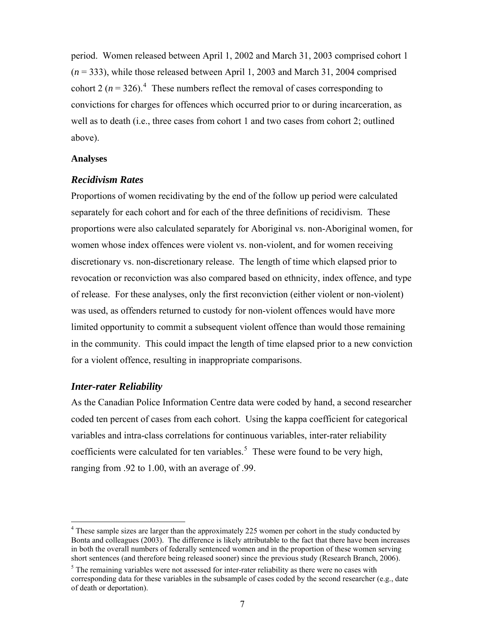<span id="page-12-0"></span>period. Women released between April 1, 2002 and March 31, 2003 comprised cohort 1 (*n* = 333), while those released between April 1, 2003 and March 31, 2004 comprised cohort 2 ( $n = 326$ ).<sup>[4](#page-12-0)</sup> These numbers reflect the removal of cases corresponding to convictions for charges for offences which occurred prior to or during incarceration, as well as to death (i.e., three cases from cohort 1 and two cases from cohort 2; outlined above).

#### **Analyses**

# *Recidivism Rates*

Proportions of women recidivating by the end of the follow up period were calculated separately for each cohort and for each of the three definitions of recidivism. These proportions were also calculated separately for Aboriginal vs. non-Aboriginal women, for women whose index offences were violent vs. non-violent, and for women receiving discretionary vs. non-discretionary release. The length of time which elapsed prior to revocation or reconviction was also compared based on ethnicity, index offence, and type of release. For these analyses, only the first reconviction (either violent or non-violent) was used, as offenders returned to custody for non-violent offences would have more limited opportunity to commit a subsequent violent offence than would those remaining in the community. This could impact the length of time elapsed prior to a new conviction for a violent offence, resulting in inappropriate comparisons.

# *Inter-rater Reliability*

 $\overline{a}$ 

As the Canadian Police Information Centre data were coded by hand, a second researcher coded ten percent of cases from each cohort. Using the kappa coefficient for categorical variables and intra-class correlations for continuous variables, inter-rater reliability coefficients were calculated for ten variables.<sup>[5](#page-12-0)</sup> These were found to be very high, ranging from .92 to 1.00, with an average of .99.

<sup>&</sup>lt;sup>4</sup> These sample sizes are larger than the approximately 225 women per cohort in the study conducted by Bonta and colleagues (2003). The difference is likely attributable to the fact that there have been increases in both the overall numbers of federally sentenced women and in the proportion of these women serving short sentences (and therefore being released sooner) since the previous study (Research Branch, 2006).

 $5$  The remaining variables were not assessed for inter-rater reliability as there were no cases with corresponding data for these variables in the subsample of cases coded by the second researcher (e.g., date of death or deportation).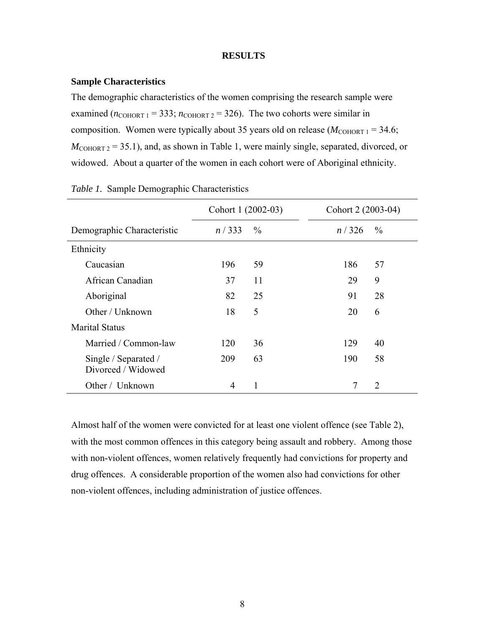## **RESULTS**

#### <span id="page-13-0"></span>**Sample Characteristics**

The demographic characteristics of the women comprising the research sample were examined  $(n_{\text{COHORT 1}} = 333; n_{\text{COHORT 2}} = 326)$ . The two cohorts were similar in composition. Women were typically about 35 years old on release  $(M_{\text{COHORT 1}} = 34.6)$ ;  $M_{\text{COHORT 2}} = 35.1$ , and, as shown in Table 1, were mainly single, separated, divorced, or widowed. About a quarter of the women in each cohort were of Aboriginal ethnicity.

|                                            | Cohort 1 (2002-03) |               | Cohort 2 (2003-04) |               |
|--------------------------------------------|--------------------|---------------|--------------------|---------------|
| Demographic Characteristic                 | n/333              | $\frac{0}{0}$ | n/326              | $\frac{0}{0}$ |
| Ethnicity                                  |                    |               |                    |               |
| Caucasian                                  | 196                | 59            | 186                | 57            |
| African Canadian                           | 37                 | 11            | 29                 | 9             |
| Aboriginal                                 | 82                 | 25            | 91                 | 28            |
| Other / Unknown                            | 18                 | 5             | 20                 | 6             |
| <b>Marital Status</b>                      |                    |               |                    |               |
| Married / Common-law                       | 120                | 36            | 129                | 40            |
| Single / Separated /<br>Divorced / Widowed | 209                | 63            | 190                | 58            |
| Other / Unknown                            | $\overline{4}$     | 1             | 7                  | 2             |

|  |  |  |  |  |  |  |  |  |  |  |  | <i>Table 1.</i> Sample Demographic Characteristics |
|--|--|--|--|--|--|--|--|--|--|--|--|----------------------------------------------------|
|--|--|--|--|--|--|--|--|--|--|--|--|----------------------------------------------------|

Almost half of the women were convicted for at least one violent offence (see Table 2), with the most common offences in this category being assault and robbery. Among those with non-violent offences, women relatively frequently had convictions for property and drug offences. A considerable proportion of the women also had convictions for other non-violent offences, including administration of justice offences.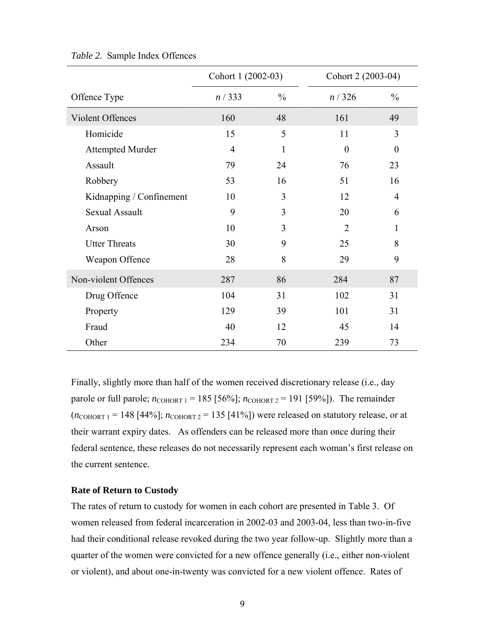|                          | Cohort 1 (2002-03) |               | Cohort 2 (2003-04) |                  |
|--------------------------|--------------------|---------------|--------------------|------------------|
| Offence Type             | n / 333            | $\frac{0}{0}$ | n/326              | $\frac{0}{0}$    |
| Violent Offences         | 160                | 48            | 161                | 49               |
| Homicide                 | 15                 | 5             | 11                 | 3                |
| <b>Attempted Murder</b>  | $\overline{4}$     | $\mathbf{1}$  | $\boldsymbol{0}$   | $\boldsymbol{0}$ |
| Assault                  | 79                 | 24            | 76                 | 23               |
| Robbery                  | 53                 | 16            | 51                 | 16               |
| Kidnapping / Confinement | 10                 | 3             | 12                 | $\overline{4}$   |
| <b>Sexual Assault</b>    | 9                  | 3             | 20                 | 6                |
| Arson                    | 10                 | 3             | $\overline{2}$     | 1                |
| <b>Utter Threats</b>     | 30                 | 9             | 25                 | 8                |
| Weapon Offence           | 28                 | 8             | 29                 | 9                |
| Non-violent Offences     | 287                | 86            | 284                | 87               |
| Drug Offence             | 104                | 31            | 102                | 31               |
| Property                 | 129                | 39            | 101                | 31               |
| Fraud                    | 40                 | 12            | 45                 | 14               |
| Other                    | 234                | 70            | 239                | 73               |

## <span id="page-14-0"></span>*Table 2.* Sample Index Offences

Finally, slightly more than half of the women received discretionary release (i.e., day parole or full parole;  $n_{\text{COHORT 1}} = 185$  [56%];  $n_{\text{COHORT 2}} = 191$  [59%]). The remainder  $(n_{\text{COHORT 1}} = 148$  [44%];  $n_{\text{COHORT 2}} = 135$  [41%]) were released on statutory release, or at their warrant expiry dates. As offenders can be released more than once during their federal sentence, these releases do not necessarily represent each woman's first release on the current sentence.

# **Rate of Return to Custody**

The rates of return to custody for women in each cohort are presented in Table 3. Of women released from federal incarceration in 2002-03 and 2003-04, less than two-in-five had their conditional release revoked during the two year follow-up. Slightly more than a quarter of the women were convicted for a new offence generally (i.e., either non-violent or violent), and about one-in-twenty was convicted for a new violent offence. Rates of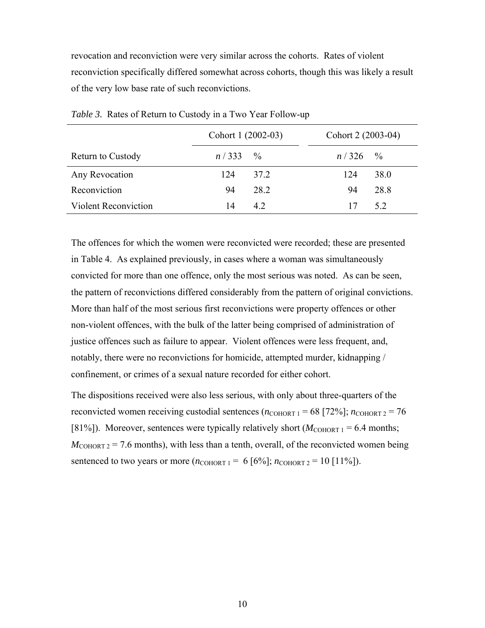<span id="page-15-0"></span>revocation and reconviction were very similar across the cohorts. Rates of violent reconviction specifically differed somewhat across cohorts, though this was likely a result of the very low base rate of such reconvictions.

|                             | Cohort 1 (2002-03)  |      | Cohort 2 (2003-04)  |      |
|-----------------------------|---------------------|------|---------------------|------|
| <b>Return to Custody</b>    | $n/333 \frac{9}{6}$ |      | $n/326 \frac{6}{6}$ |      |
| Any Revocation              | 124                 | 37.2 | 124                 | 38.0 |
| Reconviction                | 94                  | 28.2 | 94                  | 28.8 |
| <b>Violent Reconviction</b> | 14                  | 42   | 17                  | 52   |

*Table 3.* Rates of Return to Custody in a Two Year Follow-up

The offences for which the women were reconvicted were recorded; these are presented in Table 4. As explained previously, in cases where a woman was simultaneously convicted for more than one offence, only the most serious was noted. As can be seen, the pattern of reconvictions differed considerably from the pattern of original convictions. More than half of the most serious first reconvictions were property offences or other non-violent offences, with the bulk of the latter being comprised of administration of justice offences such as failure to appear. Violent offences were less frequent, and, notably, there were no reconvictions for homicide, attempted murder, kidnapping / confinement, or crimes of a sexual nature recorded for either cohort.

The dispositions received were also less serious, with only about three-quarters of the reconvicted women receiving custodial sentences  $(n_{\text{COHORT 1}} = 68 \mid 72\%)$ ;  $n_{\text{COHORT 2}} = 76$ [81%]). Moreover, sentences were typically relatively short  $(M_{\text{COHORT 1}} = 6.4 \text{ months};$  $M_{\text{COHORT 2}}$  = 7.6 months), with less than a tenth, overall, of the reconvicted women being sentenced to two years or more  $(n_{\text{COHORT 1}} = 6 \, [6\%]; n_{\text{COHORT 2}} = 10 \, [11\%]).$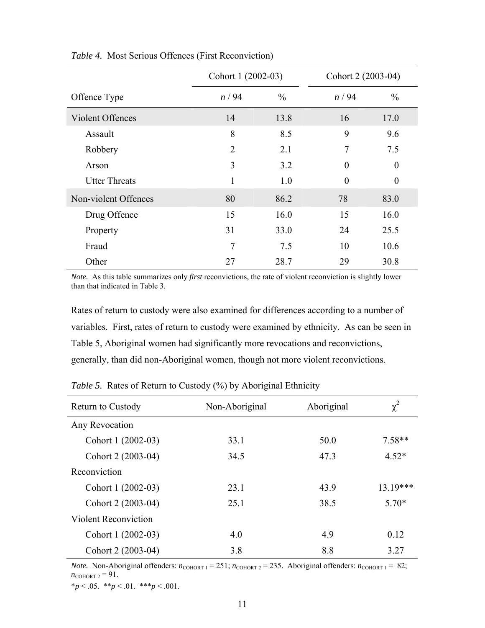|                         | Cohort 1 (2002-03) |               | Cohort 2 (2003-04) |                |
|-------------------------|--------------------|---------------|--------------------|----------------|
| Offence Type            | n/94               | $\frac{0}{0}$ | n/94               | $\frac{0}{0}$  |
| <b>Violent Offences</b> | 14                 | 13.8          | 16                 | 17.0           |
| Assault                 | 8                  | 8.5           | 9                  | 9.6            |
| Robbery                 | $\overline{2}$     | 2.1           | 7                  | 7.5            |
| Arson                   | 3                  | 3.2           | $\theta$           | $\theta$       |
| <b>Utter Threats</b>    | 1                  | 1.0           | $\theta$           | $\overline{0}$ |
| Non-violent Offences    | 80                 | 86.2          | 78                 | 83.0           |
| Drug Offence            | 15                 | 16.0          | 15                 | 16.0           |
| Property                | 31                 | 33.0          | 24                 | 25.5           |
| Fraud                   | 7                  | 7.5           | 10                 | 10.6           |
| Other                   | 27                 | 28.7          | 29                 | 30.8           |

<span id="page-16-0"></span>*Table 4.* Most Serious Offences (First Reconviction)

*Note.* As this table summarizes only *first* reconvictions, the rate of violent reconviction is slightly lower than that indicated in Table 3.

Rates of return to custody were also examined for differences according to a number of variables. First, rates of return to custody were examined by ethnicity. As can be seen in Table 5, Aboriginal women had significantly more revocations and reconvictions, generally, than did non-Aboriginal women, though not more violent reconvictions.

| <b>Return to Custody</b>    | Non-Aboriginal | Aboriginal | $\chi^2$ |
|-----------------------------|----------------|------------|----------|
| Any Revocation              |                |            |          |
| Cohort 1 (2002-03)          | 33.1           | 50.0       | $7.58**$ |
| Cohort 2 (2003-04)          | 34.5           | 47.3       | $4.52*$  |
| Reconviction                |                |            |          |
| Cohort 1 (2002-03)          | 23.1           | 43.9       | 13.19*** |
| Cohort 2 (2003-04)          | 25.1           | 38.5       | $5.70*$  |
| <b>Violent Reconviction</b> |                |            |          |
| Cohort 1 (2002-03)          | 4.0            | 4.9        | 0.12     |
| Cohort 2 (2003-04)          | 3.8            | 8.8        | 3.27     |

*Table 5.* Rates of Return to Custody (%) by Aboriginal Ethnicity

*Note.* Non-Aboriginal offenders:  $n_{\text{COHORT 1}} = 251$ ;  $n_{\text{COHORT 2}} = 235$ . Aboriginal offenders:  $n_{\text{COHORT 1}} = 82$ ;  $n_{\text{COMORT 2}} = 91.$ 

 $*_{p}$  < .05.  $*_{p}$  < .01.  $*_{p}$  < .001.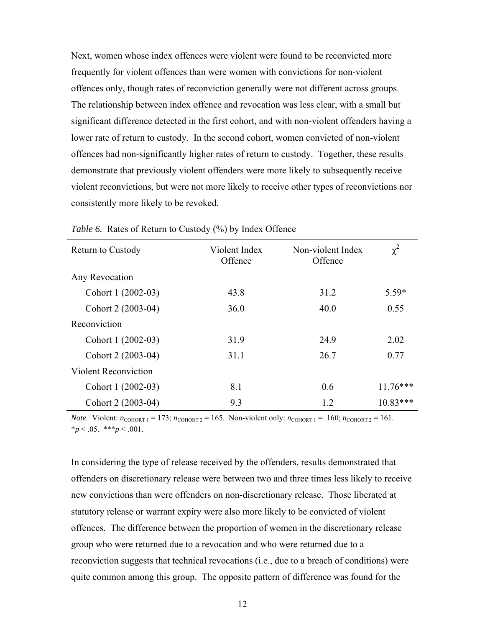<span id="page-17-0"></span>Next, women whose index offences were violent were found to be reconvicted more frequently for violent offences than were women with convictions for non-violent offences only, though rates of reconviction generally were not different across groups. The relationship between index offence and revocation was less clear, with a small but significant difference detected in the first cohort, and with non-violent offenders having a lower rate of return to custody. In the second cohort, women convicted of non-violent offences had non-significantly higher rates of return to custody. Together, these results demonstrate that previously violent offenders were more likely to subsequently receive violent reconvictions, but were not more likely to receive other types of reconvictions nor consistently more likely to be revoked.

| <b>Return to Custody</b>    | Violent Index<br>Offence | Non-violent Index<br>Offence | $\chi^2$   |
|-----------------------------|--------------------------|------------------------------|------------|
| Any Revocation              |                          |                              |            |
| Cohort 1 (2002-03)          | 43.8                     | 31.2                         | $5.59*$    |
| Cohort 2 (2003-04)          | 36.0                     | 40.0                         | 0.55       |
| Reconviction                |                          |                              |            |
| Cohort 1 (2002-03)          | 31.9                     | 24.9                         | 2.02       |
| Cohort 2 (2003-04)          | 31.1                     | 26.7                         | 0.77       |
| <b>Violent Reconviction</b> |                          |                              |            |
| Cohort 1 (2002-03)          | 8.1                      | 0.6                          | $11.76***$ |
| Cohort 2 (2003-04)          | 9.3                      | 1.2                          | $10.83***$ |

*Table 6.* Rates of Return to Custody (%) by Index Offence

*Note.* Violent:  $n_{\text{COHORT 1}} = 173$ ;  $n_{\text{COHORT 2}} = 165$ . Non-violent only:  $n_{\text{COHORT 1}} = 160$ ;  $n_{\text{COHORT 2}} = 161$ .  $*_{p}$  < .05. \*\*\**p* < .001.

In considering the type of release received by the offenders, results demonstrated that offenders on discretionary release were between two and three times less likely to receive new convictions than were offenders on non-discretionary release. Those liberated at statutory release or warrant expiry were also more likely to be convicted of violent offences. The difference between the proportion of women in the discretionary release group who were returned due to a revocation and who were returned due to a reconviction suggests that technical revocations (i.e., due to a breach of conditions) were quite common among this group. The opposite pattern of difference was found for the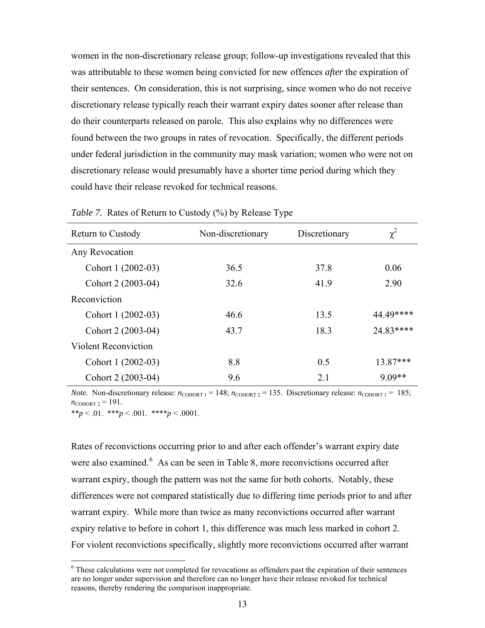<span id="page-18-0"></span>women in the non-discretionary release group; follow-up investigations revealed that this was attributable to these women being convicted for new offences *after* the expiration of their sentences. On consideration, this is not surprising, since women who do not receive discretionary release typically reach their warrant expiry dates sooner after release than do their counterparts released on parole. This also explains why no differences were found between the two groups in rates of revocation. Specifically, the different periods under federal jurisdiction in the community may mask variation; women who were not on discretionary release would presumably have a shorter time period during which they could have their release revoked for technical reasons.

| <b>Return to Custody</b>    | Non-discretionary | Discretionary | $\chi^2$  |
|-----------------------------|-------------------|---------------|-----------|
| Any Revocation              |                   |               |           |
| Cohort 1 (2002-03)          | 36.5              | 37.8          | 0.06      |
| Cohort 2 (2003-04)          | 32.6              | 41.9          | 2.90      |
| Reconviction                |                   |               |           |
| Cohort 1 (2002-03)          | 46.6              | 13.5          | 44.49**** |
| Cohort 2 (2003-04)          | 43.7              | 18.3          | 24.83**** |
| <b>Violent Reconviction</b> |                   |               |           |
| Cohort 1 (2002-03)          | 8.8               | 0.5           | 13.87***  |
| Cohort 2 (2003-04)          | 9.6               | 2.1           | $9.09**$  |

*Table 7.* Rates of Return to Custody (%) by Release Type

*Note.* Non-discretionary release:  $n_{\text{COHORT 1}} = 148$ ;  $n_{\text{COHORT 2}} = 135$ . Discretionary release:  $n_{\text{COHORT 1}} = 185$ ;  $n_{\text{COMORT } 2} = 191.$ 

\*\**p* < .01. \*\*\**p* < .001. \*\*\*\**p* < .0001.

 $\overline{a}$ 

Rates of reconvictions occurring prior to and after each offender's warrant expiry date were also examined.<sup>[6](#page-18-0)</sup> As can be seen in Table 8, more reconvictions occurred after warrant expiry, though the pattern was not the same for both cohorts. Notably, these differences were not compared statistically due to differing time periods prior to and after warrant expiry. While more than twice as many reconvictions occurred after warrant expiry relative to before in cohort 1, this difference was much less marked in cohort 2. For violent reconvictions specifically, slightly more reconvictions occurred after warrant

<sup>&</sup>lt;sup>6</sup> These calculations were not completed for revocations as offenders past the expiration of their sentences are no longer under supervision and therefore can no longer have their release revoked for technical reasons, thereby rendering the comparison inappropriate.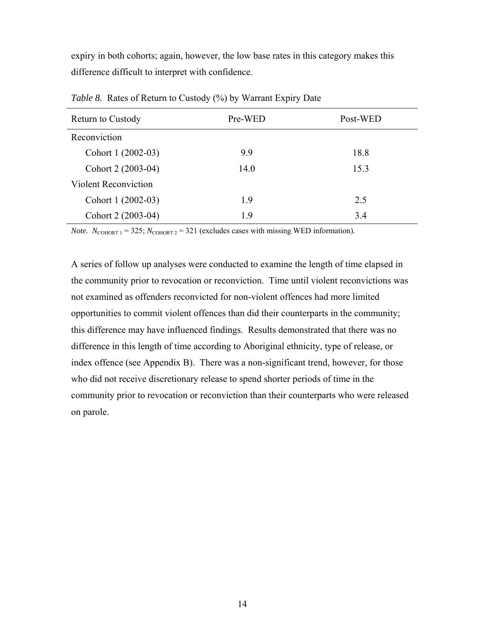<span id="page-19-0"></span>expiry in both cohorts; again, however, the low base rates in this category makes this difference difficult to interpret with confidence.

| Pre-WED | Post-WED |
|---------|----------|
|         |          |
| 9.9     | 18.8     |
| 14.0    | 15.3     |
|         |          |
| 1.9     | 2.5      |
| 19      | 3.4      |
|         |          |

*Table 8.* Rates of Return to Custody (%) by Warrant Expiry Date

*Note.*  $N_{\text{COHORT 1}} = 325$ ;  $N_{\text{COHORT 2}} = 321$  (excludes cases with missing WED information).

A series of follow up analyses were conducted to examine the length of time elapsed in the community prior to revocation or reconviction. Time until violent reconvictions was not examined as offenders reconvicted for non-violent offences had more limited opportunities to commit violent offences than did their counterparts in the community; this difference may have influenced findings. Results demonstrated that there was no difference in this length of time according to Aboriginal ethnicity, type of release, or index offence (see Appendix B). There was a non-significant trend, however, for those who did not receive discretionary release to spend shorter periods of time in the community prior to revocation or reconviction than their counterparts who were released on parole.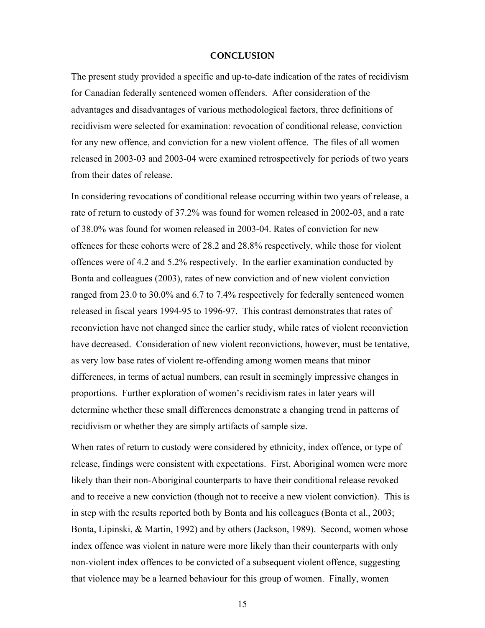## **CONCLUSION**

<span id="page-20-0"></span>The present study provided a specific and up-to-date indication of the rates of recidivism for Canadian federally sentenced women offenders. After consideration of the advantages and disadvantages of various methodological factors, three definitions of recidivism were selected for examination: revocation of conditional release, conviction for any new offence, and conviction for a new violent offence. The files of all women released in 2003-03 and 2003-04 were examined retrospectively for periods of two years from their dates of release.

In considering revocations of conditional release occurring within two years of release, a rate of return to custody of 37.2% was found for women released in 2002-03, and a rate of 38.0% was found for women released in 2003-04. Rates of conviction for new offences for these cohorts were of 28.2 and 28.8% respectively, while those for violent offences were of 4.2 and 5.2% respectively. In the earlier examination conducted by Bonta and colleagues (2003), rates of new conviction and of new violent conviction ranged from 23.0 to 30.0% and 6.7 to 7.4% respectively for federally sentenced women released in fiscal years 1994-95 to 1996-97. This contrast demonstrates that rates of reconviction have not changed since the earlier study, while rates of violent reconviction have decreased. Consideration of new violent reconvictions, however, must be tentative, as very low base rates of violent re-offending among women means that minor differences, in terms of actual numbers, can result in seemingly impressive changes in proportions. Further exploration of women's recidivism rates in later years will determine whether these small differences demonstrate a changing trend in patterns of recidivism or whether they are simply artifacts of sample size.

When rates of return to custody were considered by ethnicity, index offence, or type of release, findings were consistent with expectations. First, Aboriginal women were more likely than their non-Aboriginal counterparts to have their conditional release revoked and to receive a new conviction (though not to receive a new violent conviction). This is in step with the results reported both by Bonta and his colleagues (Bonta et al., 2003; Bonta, Lipinski, & Martin, 1992) and by others (Jackson, 1989). Second, women whose index offence was violent in nature were more likely than their counterparts with only non-violent index offences to be convicted of a subsequent violent offence, suggesting that violence may be a learned behaviour for this group of women. Finally, women

15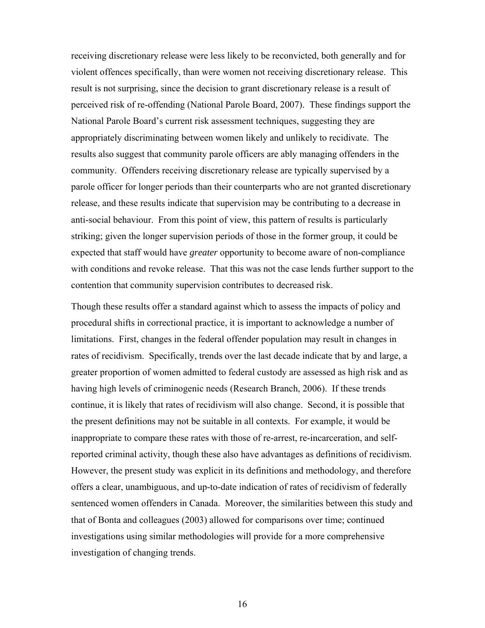receiving discretionary release were less likely to be reconvicted, both generally and for violent offences specifically, than were women not receiving discretionary release. This result is not surprising, since the decision to grant discretionary release is a result of perceived risk of re-offending (National Parole Board, 2007). These findings support the National Parole Board's current risk assessment techniques, suggesting they are appropriately discriminating between women likely and unlikely to recidivate. The results also suggest that community parole officers are ably managing offenders in the community. Offenders receiving discretionary release are typically supervised by a parole officer for longer periods than their counterparts who are not granted discretionary release, and these results indicate that supervision may be contributing to a decrease in anti-social behaviour. From this point of view, this pattern of results is particularly striking; given the longer supervision periods of those in the former group, it could be expected that staff would have *greater* opportunity to become aware of non-compliance with conditions and revoke release. That this was not the case lends further support to the contention that community supervision contributes to decreased risk.

Though these results offer a standard against which to assess the impacts of policy and procedural shifts in correctional practice, it is important to acknowledge a number of limitations. First, changes in the federal offender population may result in changes in rates of recidivism. Specifically, trends over the last decade indicate that by and large, a greater proportion of women admitted to federal custody are assessed as high risk and as having high levels of criminogenic needs (Research Branch, 2006). If these trends continue, it is likely that rates of recidivism will also change. Second, it is possible that the present definitions may not be suitable in all contexts. For example, it would be inappropriate to compare these rates with those of re-arrest, re-incarceration, and selfreported criminal activity, though these also have advantages as definitions of recidivism. However, the present study was explicit in its definitions and methodology, and therefore offers a clear, unambiguous, and up-to-date indication of rates of recidivism of federally sentenced women offenders in Canada. Moreover, the similarities between this study and that of Bonta and colleagues (2003) allowed for comparisons over time; continued investigations using similar methodologies will provide for a more comprehensive investigation of changing trends.

16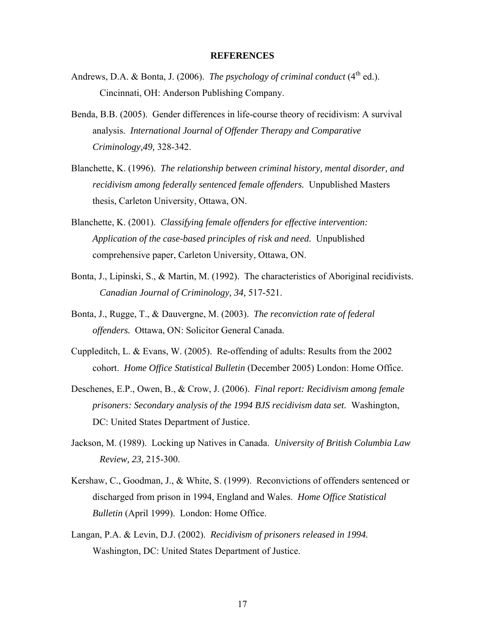### **REFERENCES**

- <span id="page-22-0"></span>Andrews, D.A. & Bonta, J. (2006). *The psychology of criminal conduct* ( $4<sup>th</sup>$  ed.). Cincinnati, OH: Anderson Publishing Company.
- Benda, B.B. (2005). Gender differences in life-course theory of recidivism: A survival analysis. *International Journal of Offender Therapy and Comparative Criminology,49,* 328-342.
- Blanchette, K. (1996). *The relationship between criminal history, mental disorder, and recidivism among federally sentenced female offenders.* Unpublished Masters thesis, Carleton University, Ottawa, ON.
- Blanchette, K. (2001). *Classifying female offenders for effective intervention: Application of the case-based principles of risk and need.* Unpublished comprehensive paper, Carleton University, Ottawa, ON.
- Bonta, J., Lipinski, S., & Martin, M. (1992). The characteristics of Aboriginal recidivists. *Canadian Journal of Criminology, 34,* 517-521.
- Bonta, J., Rugge, T., & Dauvergne, M. (2003). *The reconviction rate of federal offenders.* Ottawa, ON: Solicitor General Canada.
- Cuppleditch, L. & Evans, W. (2005). Re-offending of adults: Results from the 2002 cohort. *Home Office Statistical Bulletin* (December 2005) London: Home Office.
- Deschenes, E.P., Owen, B., & Crow, J. (2006). *Final report: Recidivism among female prisoners: Secondary analysis of the 1994 BJS recidivism data set.* Washington, DC: United States Department of Justice.
- Jackson, M. (1989). Locking up Natives in Canada. *University of British Columbia Law Review, 23,* 215-300.
- Kershaw, C., Goodman, J., & White, S. (1999). Reconvictions of offenders sentenced or discharged from prison in 1994, England and Wales. *Home Office Statistical Bulletin* (April 1999). London: Home Office.
- Langan, P.A. & Levin, D.J. (2002). *Recidivism of prisoners released in 1994.*  Washington, DC: United States Department of Justice.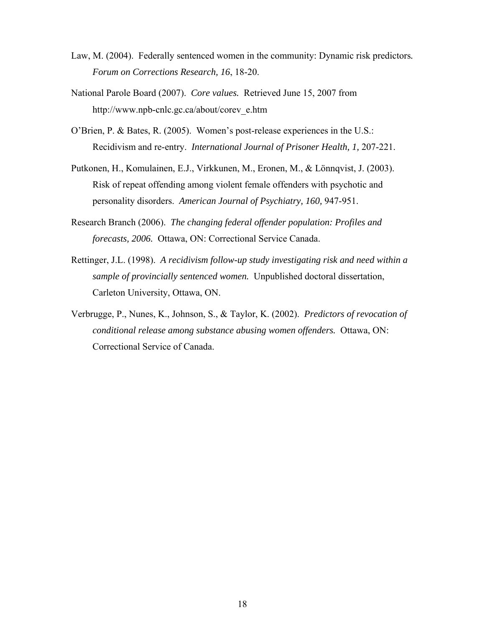- Law, M. (2004). Federally sentenced women in the community: Dynamic risk predictors*. Forum on Corrections Research, 16*, 18-20.
- National Parole Board (2007). *Core values.* Retrieved June 15, 2007 from http://www.npb-cnlc.gc.ca/about/corev\_e.htm
- O'Brien, P. & Bates, R. (2005). Women's post-release experiences in the U.S.: Recidivism and re-entry. *International Journal of Prisoner Health, 1,* 207-221.
- Putkonen, H., Komulainen, E.J., Virkkunen, M., Eronen, M., & Lönnqvist, J. (2003). Risk of repeat offending among violent female offenders with psychotic and personality disorders. *American Journal of Psychiatry, 160,* 947-951.
- Research Branch (2006). *The changing federal offender population: Profiles and forecasts, 2006.* Ottawa, ON: Correctional Service Canada.
- Rettinger, J.L. (1998). *A recidivism follow-up study investigating risk and need within a sample of provincially sentenced women.* Unpublished doctoral dissertation, Carleton University, Ottawa, ON.
- Verbrugge, P., Nunes, K., Johnson, S., & Taylor, K. (2002). *Predictors of revocation of conditional release among substance abusing women offenders.* Ottawa, ON: Correctional Service of Canada.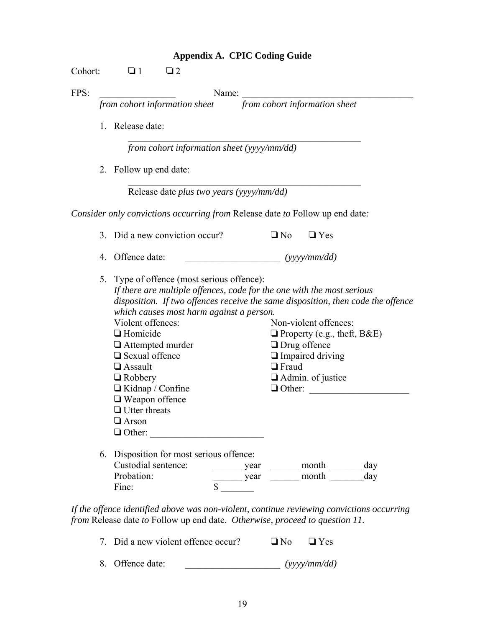|  | <b>Appendix A. CPIC Coding Guide</b> |  |
|--|--------------------------------------|--|
|--|--------------------------------------|--|

<span id="page-24-0"></span>

|    | Name:                                                                                                                                                                                                                                                |                                                                                                                                                                            |
|----|------------------------------------------------------------------------------------------------------------------------------------------------------------------------------------------------------------------------------------------------------|----------------------------------------------------------------------------------------------------------------------------------------------------------------------------|
|    | from cohort information sheet                                                                                                                                                                                                                        | from cohort information sheet                                                                                                                                              |
|    | 1. Release date:                                                                                                                                                                                                                                     |                                                                                                                                                                            |
|    | from cohort information sheet (yyyy/mm/dd)                                                                                                                                                                                                           |                                                                                                                                                                            |
|    | 2. Follow up end date:                                                                                                                                                                                                                               |                                                                                                                                                                            |
|    | Release date plus two years (yyyy/mm/dd)                                                                                                                                                                                                             |                                                                                                                                                                            |
|    |                                                                                                                                                                                                                                                      | Consider only convictions occurring from Release date to Follow up end date:                                                                                               |
|    | 3. Did a new conviction occur?                                                                                                                                                                                                                       | $\Box$ No<br>$\Box$ Yes                                                                                                                                                    |
| 4. | Offence date:                                                                                                                                                                                                                                        | (yyy/mm/dd)                                                                                                                                                                |
|    | 5. Type of offence (most serious offence):                                                                                                                                                                                                           | If there are multiple offences, code for the one with the most serious                                                                                                     |
|    | which causes most harm against a person.<br>Violent offences:<br>$\Box$ Homicide<br>$\Box$ Attempted murder<br>$\Box$ Sexual offence<br>$\Box$ Assault<br>$\Box$ Robbery<br>$\Box$ Kidnap / Confine<br>$\Box$ Weapon offence<br>$\Box$ Utter threats | Non-violent offences:<br>$\Box$ Property (e.g., theft, B&E)<br>$\Box$ Drug offence<br>$\Box$ Impaired driving<br>$\Box$ Fraud<br>$\Box$ Admin. of justice<br>$\Box$ Other: |
|    | $\Box$ Arson<br>$\Box$ Other:<br>6. Disposition for most serious offence:                                                                                                                                                                            | disposition. If two offences receive the same disposition, then code the offence                                                                                           |

| 7. Did a new violent offence occur? |  | $\Box$ No $\Box$ Yes |
|-------------------------------------|--|----------------------|
| 8. Offence date:                    |  | (yyyymm/dd)          |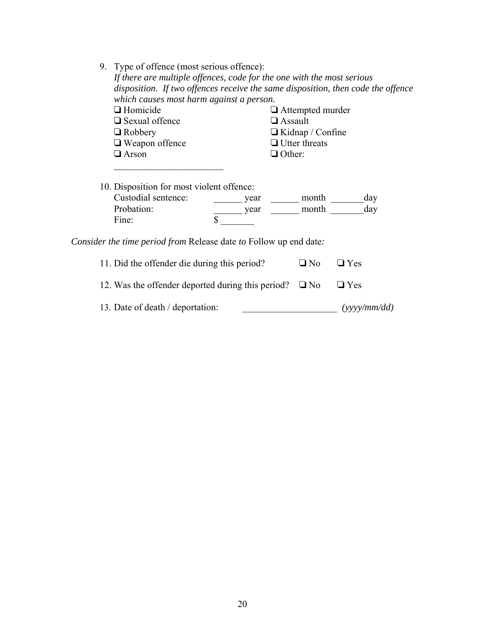| Type of offence (most serious offence):<br>9.                                    |                                           |                         |           |               |  |  |  |
|----------------------------------------------------------------------------------|-------------------------------------------|-------------------------|-----------|---------------|--|--|--|
| If there are multiple offences, code for the one with the most serious           |                                           |                         |           |               |  |  |  |
| disposition. If two offences receive the same disposition, then code the offence |                                           |                         |           |               |  |  |  |
| which causes most harm against a person.                                         |                                           |                         |           |               |  |  |  |
| $\Box$ Homicide                                                                  |                                           | $\Box$ Attempted murder |           |               |  |  |  |
| $\Box$ Sexual offence                                                            |                                           |                         |           |               |  |  |  |
| $\Box$ Robbery                                                                   | $\Box$ Assault<br>$\Box$ Kidnap / Confine |                         |           |               |  |  |  |
| $\Box$ Weapon offence                                                            |                                           | $\Box$ Utter threats    |           |               |  |  |  |
| $\Box$ Arson                                                                     | $\Box$ Other:                             |                         |           |               |  |  |  |
|                                                                                  |                                           |                         |           |               |  |  |  |
|                                                                                  |                                           |                         |           |               |  |  |  |
|                                                                                  |                                           |                         |           |               |  |  |  |
| 10. Disposition for most violent offence:                                        |                                           |                         |           |               |  |  |  |
| Custodial sentence:                                                              |                                           | year                    | month     | day           |  |  |  |
| Probation:                                                                       |                                           | year                    | month     | day           |  |  |  |
| Fine:                                                                            | \$                                        |                         |           |               |  |  |  |
|                                                                                  |                                           |                         |           |               |  |  |  |
| <i>Consider the time period from</i> Release date <i>to</i> Follow up end date:  |                                           |                         |           |               |  |  |  |
|                                                                                  |                                           |                         |           |               |  |  |  |
| 11. Did the offender die during this period?                                     |                                           |                         | $\Box$ No | $\square$ Yes |  |  |  |
|                                                                                  |                                           |                         |           |               |  |  |  |
| 12. Was the offender deported during this period?                                | $\Box$ No                                 | $\Box$ Yes              |           |               |  |  |  |
|                                                                                  |                                           |                         |           |               |  |  |  |
|                                                                                  |                                           |                         |           |               |  |  |  |

13. Date of death / deportation: \_\_\_\_\_\_\_\_\_\_\_\_\_\_\_\_\_\_\_\_\_\_\_\_\_\_\_ *(yyyy/mm/dd)*